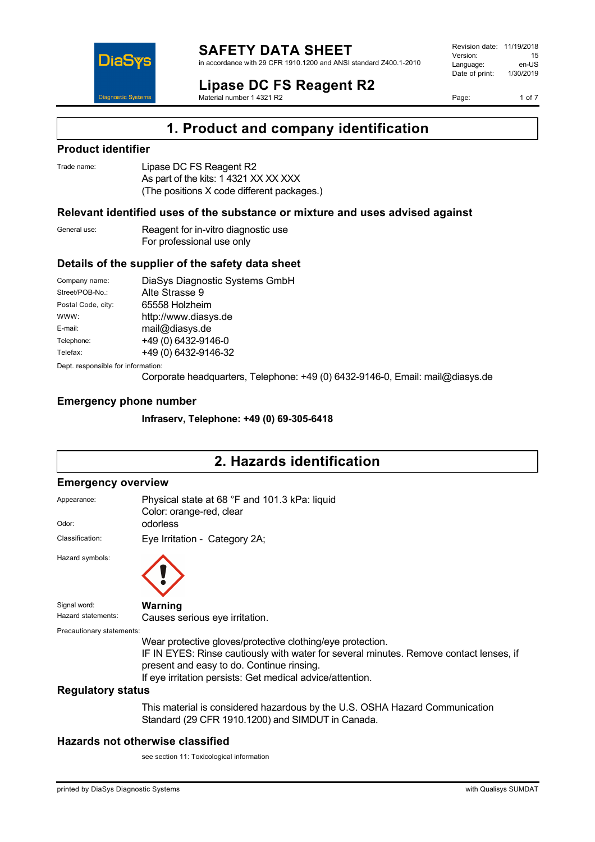

in accordance with 29 CFR 1910.1200 and ANSI standard Z400.1-2010

Revision date: 11/19/2018 Version: 15<br>Language: en-LIS Language: en-US<br>Date of print: 1/30/2019  $Date$  of print:

**Lipase DC FS Reagent R2** Material number 1 4321 R2

Page: 1 of 7



# **1. Product and company identification**

### **Product identifier**

**DiaS** 

**Diagnostic Systen** 

| Trade name: | Lipase DC FS Reagent R2                    |
|-------------|--------------------------------------------|
|             | As part of the kits: 1 4321 XX XX XXX      |
|             | (The positions X code different packages.) |

### **Relevant identified uses of the substance or mixture and uses advised against**

| General use: | Reagent for in-vitro diagnostic use |
|--------------|-------------------------------------|
|              | For professional use only           |

### **Details of the supplier of the safety data sheet**

| Company name:                      | DiaSys Diagnostic Systems GmbH |  |  |
|------------------------------------|--------------------------------|--|--|
| Street/POB-No.:                    | Alte Strasse 9                 |  |  |
| Postal Code, city:                 | 65558 Holzheim                 |  |  |
| WWW:                               | http://www.diasys.de           |  |  |
| E-mail:                            | mail@diasys.de                 |  |  |
| Telephone:                         | +49 (0) 6432-9146-0            |  |  |
| Telefax:                           | +49 (0) 6432-9146-32           |  |  |
| Dept. responsible for information: |                                |  |  |

Corporate headquarters, Telephone: +49 (0) 6432-9146-0, Email: mail@diasys.de

### **Emergency phone number**

**Infraserv, Telephone: +49 (0) 69-305-6418**

# **2. Hazards identification**

### **Emergency overview**

| Appearance:               | Physical state at 68 °F and 101.3 kPa: liquid<br>Color: orange-red, clear                                                                                                                                                                                      |
|---------------------------|----------------------------------------------------------------------------------------------------------------------------------------------------------------------------------------------------------------------------------------------------------------|
| Odor:                     | odorless                                                                                                                                                                                                                                                       |
| Classification:           | Eye Irritation - Category 2A;                                                                                                                                                                                                                                  |
| Hazard symbols:           |                                                                                                                                                                                                                                                                |
| Signal word:              | Warning                                                                                                                                                                                                                                                        |
| Hazard statements:        | Causes serious eye irritation.                                                                                                                                                                                                                                 |
| Precautionary statements: |                                                                                                                                                                                                                                                                |
|                           | Wear protective gloves/protective clothing/eye protection.<br>IF IN EYES: Rinse cautiously with water for several minutes. Remove contact lenses, if<br>present and easy to do. Continue rinsing.<br>If eye irritation persists: Get medical advice/attention. |
| <b>Regulatory status</b>  |                                                                                                                                                                                                                                                                |
|                           | This material is considered hazardous by the U.S. OSHA Hazard Communication<br>Standard (29 CFR 1910.1200) and SIMDUT in Canada.                                                                                                                               |

### **Hazards not otherwise classified**

see section 11: Toxicological information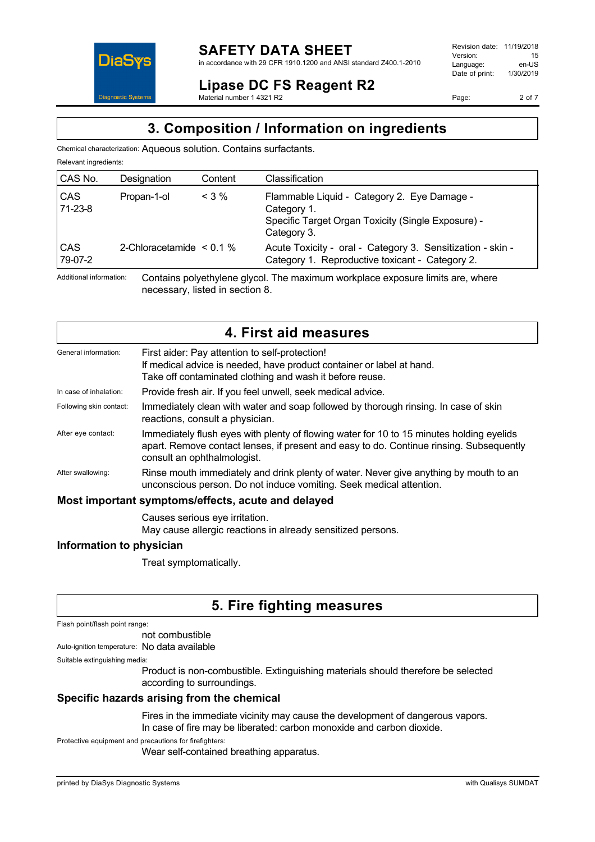

Revision date: 11/19/2018 Version: 15<br>Language: en-LIS Language: en-US<br>Date of print: 1/30/2019  $Date$  of print:

**Lipase DC FS Reagent R2** Material number 1 4321 R2

Page: 2 of 7

# **3. Composition / Information on ingredients**

Chemical characterization: Aqueous solution. Contains surfactants.

|  | Relevant ingredients: |
|--|-----------------------|
|--|-----------------------|

| CAS No.               | Designation                   | Content | Classification                                                                                                                  |
|-----------------------|-------------------------------|---------|---------------------------------------------------------------------------------------------------------------------------------|
| <b>CAS</b><br>71-23-8 | Propan-1-ol                   | $<$ 3 % | Flammable Liquid - Category 2. Eye Damage -<br>Category 1.<br>Specific Target Organ Toxicity (Single Exposure) -<br>Category 3. |
| <b>CAS</b><br>79-07-2 | 2-Chloracetamide $\leq 0.1\%$ |         | Acute Toxicity - oral - Category 3. Sensitization - skin -<br>Category 1. Reproductive toxicant - Category 2.                   |

Additional information: Contains polyethylene glycol. The maximum workplace exposure limits are, where necessary, listed in section 8.

| 4. First aid measures                              |                                                                                                                                                                                                                    |  |  |
|----------------------------------------------------|--------------------------------------------------------------------------------------------------------------------------------------------------------------------------------------------------------------------|--|--|
| General information:                               | First aider: Pay attention to self-protection!<br>If medical advice is needed, have product container or label at hand.<br>Take off contaminated clothing and wash it before reuse.                                |  |  |
| In case of inhalation:                             | Provide fresh air. If you feel unwell, seek medical advice.                                                                                                                                                        |  |  |
| Following skin contact:                            | Immediately clean with water and soap followed by thorough rinsing. In case of skin<br>reactions, consult a physician.                                                                                             |  |  |
| After eye contact:                                 | Immediately flush eyes with plenty of flowing water for 10 to 15 minutes holding eyelids<br>apart. Remove contact lenses, if present and easy to do. Continue rinsing. Subsequently<br>consult an ophthalmologist. |  |  |
| After swallowing:                                  | Rinse mouth immediately and drink plenty of water. Never give anything by mouth to an<br>unconscious person. Do not induce vomiting. Seek medical attention.                                                       |  |  |
| Most important symptoms/effects, acute and delayed |                                                                                                                                                                                                                    |  |  |
|                                                    | Causes serious eye irritation.                                                                                                                                                                                     |  |  |

May cause allergic reactions in already sensitized persons.

### **Information to physician**

Treat symptomatically.

# **5. Fire fighting measures**

Flash point/flash point range:

not combustible

Auto-ignition temperature: No data available

Suitable extinguishing media:

Product is non-combustible. Extinguishing materials should therefore be selected according to surroundings.

### **Specific hazards arising from the chemical**

Fires in the immediate vicinity may cause the development of dangerous vapors.

In case of fire may be liberated: carbon monoxide and carbon dioxide.

Protective equipment and precautions for firefighters:

Wear self-contained breathing apparatus.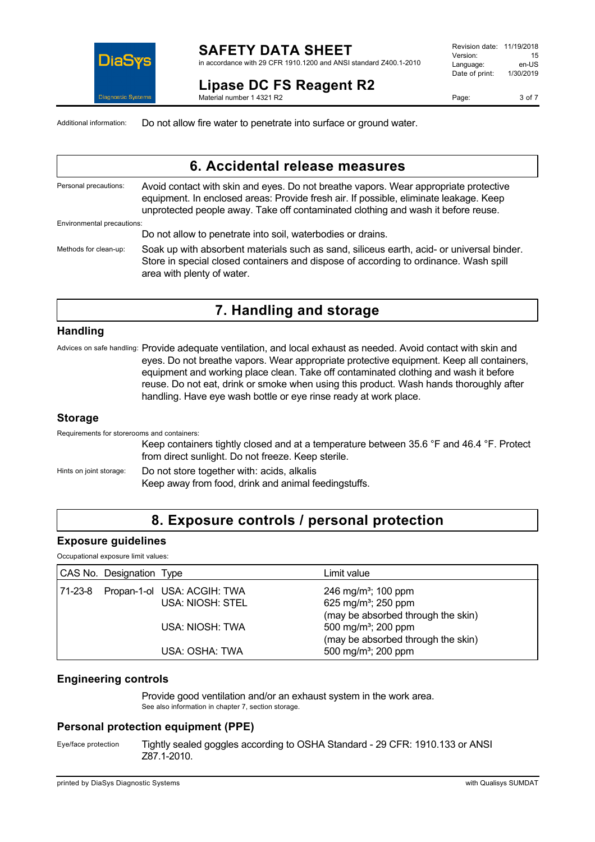

#### **SAFETY DATA SHEET** in accordance with 29 CFR 1910.1200 and ANSI standard Z400.1-2010

**Lipase DC FS Reagent R2**

Revision date: 11/19/2018 Version: 15<br>I anguage: en-US Language: en-US<br>Date of print: 1/30/2019 Date of print:

Page: 3 of 7

Additional information: Do not allow fire water to penetrate into surface or ground water.

Material number 1 4321 R2

### **6. Accidental release measures**

Personal precautions: Avoid contact with skin and eyes. Do not breathe vapors. Wear appropriate protective equipment. In enclosed areas: Provide fresh air. If possible, eliminate leakage. Keep unprotected people away. Take off contaminated clothing and wash it before reuse. Environmental precautions: Do not allow to penetrate into soil, waterbodies or drains. Methods for clean-up: Soak up with absorbent materials such as sand, siliceus earth, acid- or universal binder.

Store in special closed containers and dispose of according to ordinance. Wash spill area with plenty of water.

# **7. Handling and storage**

#### **Handling**

Advices on safe handling: Provide adequate ventilation, and local exhaust as needed. Avoid contact with skin and eyes. Do not breathe vapors. Wear appropriate protective equipment. Keep all containers, equipment and working place clean. Take off contaminated clothing and wash it before reuse. Do not eat, drink or smoke when using this product. Wash hands thoroughly after handling. Have eye wash bottle or eye rinse ready at work place.

#### **Storage**

Requirements for storerooms and containers:

Keep containers tightly closed and at a temperature between 35.6 °F and 46.4 °F. Protect from direct sunlight. Do not freeze. Keep sterile.

Hints on joint storage: Do not store together with: acids, alkalis

Keep away from food, drink and animal feedingstuffs.

# **8. Exposure controls / personal protection**

### **Exposure guidelines**

Occupational exposure limit values:

| CAS No. Designation Type |                                     | Limit value                        |
|--------------------------|-------------------------------------|------------------------------------|
|                          | 71-23-8 Propan-1-ol USA: ACGIH: TWA | 246 mg/m <sup>3</sup> ; 100 ppm    |
|                          | <b>USA: NIOSH: STEL</b>             | 625 mg/m <sup>3</sup> ; 250 ppm    |
|                          |                                     | (may be absorbed through the skin) |
|                          | USA: NIOSH: TWA                     | 500 mg/m <sup>3</sup> ; 200 ppm    |
|                          |                                     | (may be absorbed through the skin) |
|                          | USA: OSHA: TWA                      | 500 mg/m <sup>3</sup> ; 200 ppm    |

### **Engineering controls**

Provide good ventilation and/or an exhaust system in the work area. See also information in chapter 7, section storage.

### **Personal protection equipment (PPE)**

Eye/face protection Tightly sealed goggles according to OSHA Standard - 29 CFR: 1910.133 or ANSI Z87.1-2010.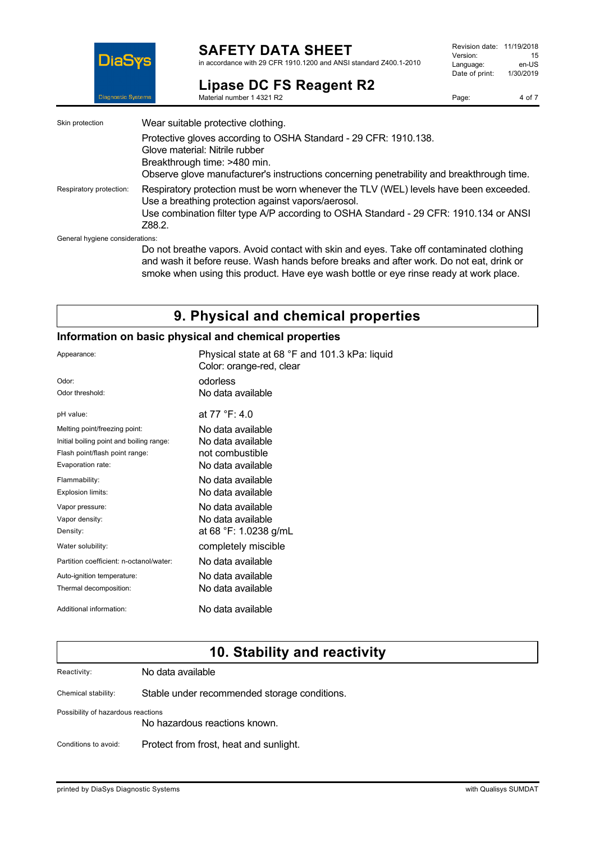

### **SAFETY DATA SHEET**

in accordance with 29 CFR 1910.1200 and ANSI standard Z400.1-2010

# **Lipase DC FS Reagent R2**

Material number 1 4321 R2

Page: 4 of 7

| Skin protection                 | Wear suitable protective clothing.                                                                                                                                                                                                             |
|---------------------------------|------------------------------------------------------------------------------------------------------------------------------------------------------------------------------------------------------------------------------------------------|
|                                 | Protective gloves according to OSHA Standard - 29 CFR: 1910.138.<br>Glove material: Nitrile rubber<br>Breakthrough time: >480 min.<br>Observe glove manufacturer's instructions concerning penetrability and breakthrough time.                |
| Respiratory protection:         | Respiratory protection must be worn whenever the TLV (WEL) levels have been exceeded.<br>Use a breathing protection against vapors/aerosol.<br>Use combination filter type A/P according to OSHA Standard - 29 CFR: 1910.134 or ANSI<br>Z88.2. |
| General hygiene considerations: | Do not breathe vapors. Avoid contact with skin and eyes. Take off contaminated clothing<br>and wash it before reuse Wash bands before breaks and after work. Do not eat, drink or                                                              |

and wash it before reuse. Wash hands before breaks and after work. Do not eat, drink or smoke when using this product. Have eye wash bottle or eye rinse ready at work place.

# **9. Physical and chemical properties**

### **Information on basic physical and chemical properties**

| Appearance:                              | Physical state at 68 °F and 101.3 kPa: liquid<br>Color: orange-red, clear |
|------------------------------------------|---------------------------------------------------------------------------|
| Odor:                                    | odorless                                                                  |
| Odor threshold:                          | No data available                                                         |
| pH value:                                | at 77 °F: 4.0                                                             |
| Melting point/freezing point:            | No data available                                                         |
| Initial boiling point and boiling range: | No data available                                                         |
| Flash point/flash point range:           | not combustible                                                           |
| Evaporation rate:                        | No data available                                                         |
| Flammability:                            | No data available                                                         |
| Explosion limits:                        | No data available                                                         |
| Vapor pressure:                          | No data available                                                         |
| Vapor density:                           | No data available                                                         |
| Density:                                 | at 68 °F: 1.0238 g/mL                                                     |
| Water solubility:                        | completely miscible                                                       |
| Partition coefficient: n-octanol/water:  | No data available                                                         |
| Auto-ignition temperature:               | No data available                                                         |
| Thermal decomposition:                   | No data available                                                         |
| Additional information:                  | No data available                                                         |

# **10. Stability and reactivity**

Reactivity: No data available

Chemical stability: Stable under recommended storage conditions.

Possibility of hazardous reactions

No hazardous reactions known.

Conditions to avoid: Protect from frost, heat and sunlight.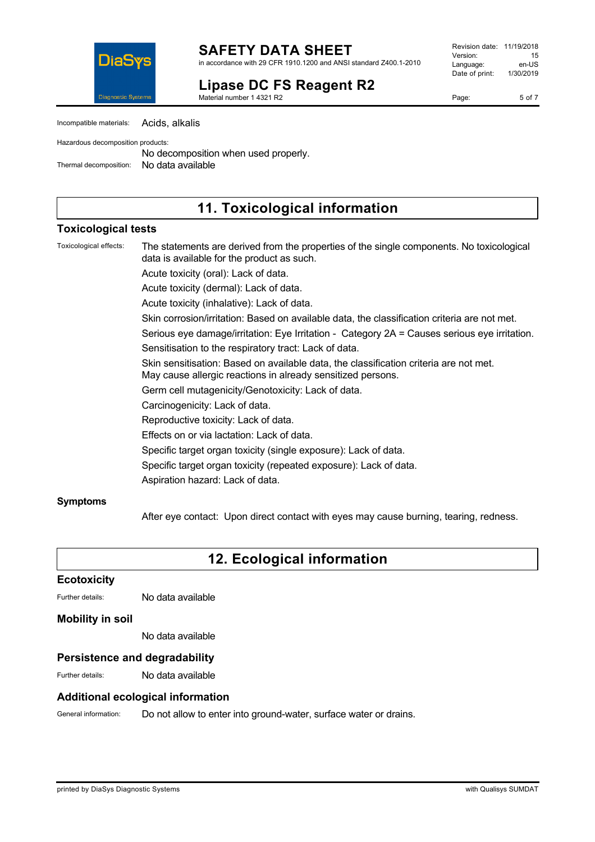

**SAFETY DATA SHEET** in accordance with 29 CFR 1910.1200 and ANSI standard Z400.1-2010

# **Lipase DC FS Reagent R2**

Material number 1 4321 R2

Revision date: 11/19/2018 Version: 15<br>Language: en-LIS Language: Date of print: 1/30/2019

Page: 5 of 7

| Incompatible materials: | Acids, alkalis |  |
|-------------------------|----------------|--|
|-------------------------|----------------|--|

Hazardous decomposition products:

No decomposition when used properly. Thermal decomposition: No data available

### **11. Toxicological information**

### **Toxicological tests**

Toxicological effects: The statements are derived from the properties of the single components. No toxicological data is available for the product as such.

Acute toxicity (oral): Lack of data.

Acute toxicity (dermal): Lack of data.

Acute toxicity (inhalative): Lack of data.

Skin corrosion/irritation: Based on available data, the classification criteria are not met.

Serious eye damage/irritation: Eye Irritation - Category 2A = Causes serious eye irritation.

Sensitisation to the respiratory tract: Lack of data.

Skin sensitisation: Based on available data, the classification criteria are not met.

May cause allergic reactions in already sensitized persons.

Germ cell mutagenicity/Genotoxicity: Lack of data.

Carcinogenicity: Lack of data.

Reproductive toxicity: Lack of data.

Effects on or via lactation: Lack of data.

Specific target organ toxicity (single exposure): Lack of data.

Specific target organ toxicity (repeated exposure): Lack of data.

Aspiration hazard: Lack of data.

### **Symptoms**

After eye contact: Upon direct contact with eyes may cause burning, tearing, redness.

# **12. Ecological information**

#### **Ecotoxicity**

Further details: No data available

### **Mobility in soil**

No data available

### **Persistence and degradability**

Further details: No data available

### **Additional ecological information**

General information: Do not allow to enter into ground-water, surface water or drains.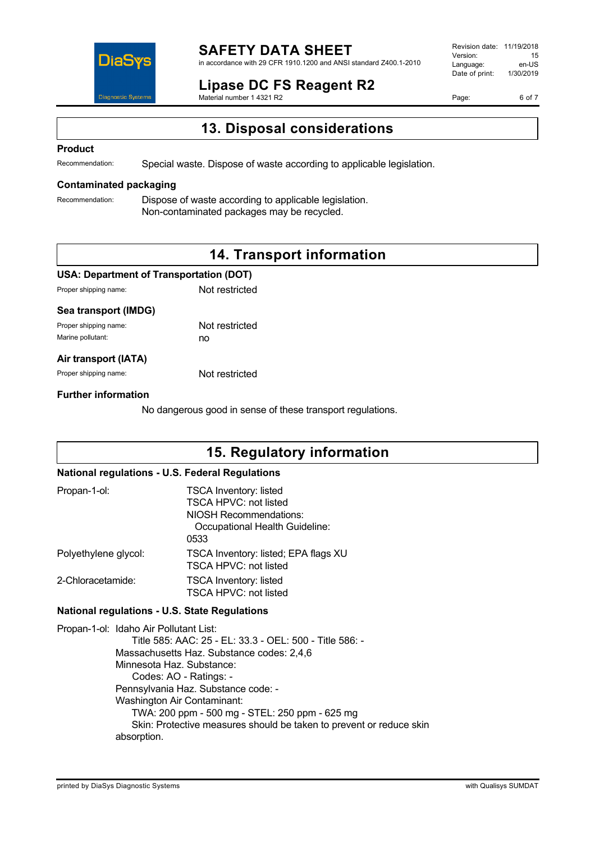

# **SAFETY DATA SHEET**

in accordance with 29 CFR 1910.1200 and ANSI standard Z400.1-2010

#### **Lipase DC FS Reagent R2** Material number 1 4321 R2

Revision date: 11/19/2018 Version: 15<br>Language: en-LIS Language: en-US<br>Date of print: 1/30/2019  $Date$  of print:

Page: 6 of 7

# **13. Disposal considerations**

#### **Product**

Recommendation: Special waste. Dispose of waste according to applicable legislation.

### **Contaminated packaging**

Recommendation: Dispose of waste according to applicable legislation. Non-contaminated packages may be recycled.

# **14. Transport information**

#### **USA: Department of Transportation (DOT)**

Proper shipping name: Not restricted

#### **Sea transport (IMDG)**

| Proper shipping name: | Not restricted |
|-----------------------|----------------|
| Marine pollutant:     | no             |

#### **Air transport (IATA)**

Proper shipping name: Not restricted

#### **Further information**

No dangerous good in sense of these transport regulations.

### **15. Regulatory information**

### **National regulations - U.S. Federal Regulations**

| Propan-1-ol:         | <b>TSCA Inventory: listed</b><br><b>TSCA HPVC: not listed</b><br>NIOSH Recommendations:<br>Occupational Health Guideline:<br>0533 |
|----------------------|-----------------------------------------------------------------------------------------------------------------------------------|
| Polyethylene glycol: | TSCA Inventory: listed; EPA flags XU<br><b>TSCA HPVC: not listed</b>                                                              |
| 2-Chloracetamide:    | <b>TSCA Inventory: listed</b><br>TSCA HPVC: not listed                                                                            |

#### **National regulations - U.S. State Regulations**

Propan-1-ol: Idaho Air Pollutant List: Title 585: AAC: 25 - EL: 33.3 - OEL: 500 - Title 586: - Massachusetts Haz. Substance codes: 2,4,6 Minnesota Haz. Substance: Codes: AO - Ratings: - Pennsylvania Haz. Substance code: - Washington Air Contaminant: TWA: 200 ppm - 500 mg - STEL: 250 ppm - 625 mg Skin: Protective measures should be taken to prevent or reduce skin absorption.